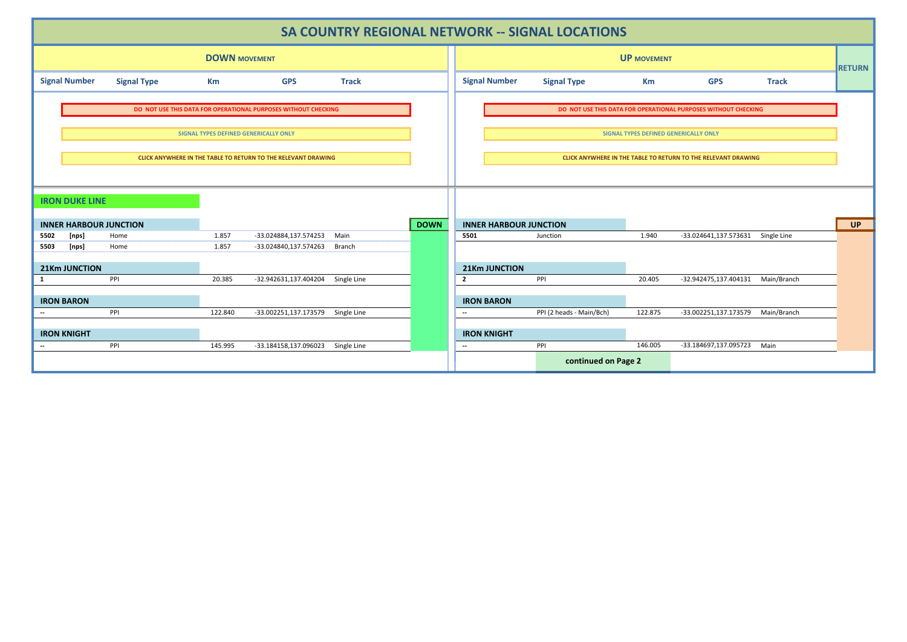| SA COUNTRY REGIONAL NETWORK -- SIGNAL LOCATIONS                |                    |         |                                   |                               |                                       |                                                                      |                          |         |                                   |              |               |
|----------------------------------------------------------------|--------------------|---------|-----------------------------------|-------------------------------|---------------------------------------|----------------------------------------------------------------------|--------------------------|---------|-----------------------------------|--------------|---------------|
| <b>DOWN MOVEMENT</b>                                           |                    |         |                                   |                               |                                       | <b>UP MOVEMENT</b>                                                   |                          |         |                                   |              | <b>RETURN</b> |
| <b>Signal Number</b>                                           | <b>Signal Type</b> | Кm      | <b>GPS</b>                        | <b>Track</b>                  |                                       | <b>Signal Number</b>                                                 | <b>Signal Type</b>       | Km      | <b>GPS</b>                        | <b>Track</b> |               |
| DO NOT USE THIS DATA FOR OPERATIONAL PURPOSES WITHOUT CHECKING |                    |         |                                   |                               |                                       | DO NOT USE THIS DATA FOR OPERATIONAL PURPOSES WITHOUT CHECKING       |                          |         |                                   |              |               |
| SIGNAL TYPES DEFINED GENERICALLY ONLY                          |                    |         |                                   |                               | SIGNAL TYPES DEFINED GENERICALLY ONLY |                                                                      |                          |         |                                   |              |               |
| CLICK ANYWHERE IN THE TABLE TO RETURN TO THE RELEVANT DRAWING  |                    |         |                                   |                               |                                       | <b>CLICK ANYWHERE IN THE TABLE TO RETURN TO THE RELEVANT DRAWING</b> |                          |         |                                   |              |               |
| <b>IRON DUKE LINE</b>                                          |                    |         |                                   |                               |                                       |                                                                      |                          |         |                                   |              |               |
| <b>INNER HARBOUR JUNCTION</b>                                  |                    |         | <b>DOWN</b>                       | <b>INNER HARBOUR JUNCTION</b> |                                       |                                                                      |                          |         | <b>UP</b>                         |              |               |
| 5502<br>[nps]                                                  | Home               | 1.857   | -33.024884,137.574253             | Main                          |                                       | 5501                                                                 | Junction                 | 1.940   | -33.024641,137.573631             | Single Line  |               |
| 5503<br>[nps]                                                  | Home               | 1.857   | -33.024840,137.574263             | Branch                        |                                       |                                                                      |                          |         |                                   |              |               |
| <b>21Km JUNCTION</b>                                           |                    |         |                                   |                               |                                       | <b>21Km JUNCTION</b>                                                 |                          |         |                                   |              |               |
| 1                                                              | PPI                | 20.385  | -32.942631,137.404204 Single Line |                               |                                       | $\overline{2}$                                                       | PPI                      | 20.405  | -32.942475,137.404131 Main/Branch |              |               |
|                                                                |                    |         |                                   |                               |                                       |                                                                      |                          |         |                                   |              |               |
| <b>IRON BARON</b>                                              |                    |         |                                   |                               |                                       | <b>IRON BARON</b>                                                    |                          |         |                                   |              |               |
| $\overline{\phantom{a}}$                                       | PPI                | 122.840 | -33.002251,137.173579 Single Line |                               |                                       | $\sim$                                                               | PPI (2 heads - Main/Bch) | 122.875 | -33.002251,137.173579             | Main/Branch  |               |
| <b>IRON KNIGHT</b>                                             |                    |         |                                   |                               |                                       | <b>IRON KNIGHT</b>                                                   |                          |         |                                   |              |               |
| $\overline{\phantom{a}}$                                       | PPI                | 145.995 | -33.184158,137.096023 Single Line |                               |                                       | $\sim$                                                               | PPI                      | 146.005 | -33.184697,137.095723             | Main         |               |
|                                                                |                    |         |                                   |                               |                                       |                                                                      | continued on Page 2      |         |                                   |              |               |